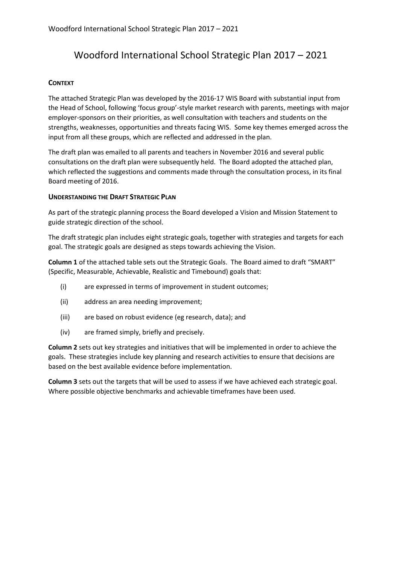## Woodford International School Strategic Plan 2017 – 2021

### **CONTEXT**

The attached Strategic Plan was developed by the 2016-17 WIS Board with substantial input from the Head of School, following 'focus group'-style market research with parents, meetings with major employer-sponsors on their priorities, as well consultation with teachers and students on the strengths, weaknesses, opportunities and threats facing WIS. Some key themes emerged across the input from all these groups, which are reflected and addressed in the plan.

The draft plan was emailed to all parents and teachers in November 2016 and several public consultations on the draft plan were subsequently held. The Board adopted the attached plan, which reflected the suggestions and comments made through the consultation process, in its final Board meeting of 2016.

#### **UNDERSTANDING THE DRAFT STRATEGIC PLAN**

As part of the strategic planning process the Board developed a Vision and Mission Statement to guide strategic direction of the school.

The draft strategic plan includes eight strategic goals, together with strategies and targets for each goal. The strategic goals are designed as steps towards achieving the Vision.

**Column 1** of the attached table sets out the Strategic Goals. The Board aimed to draft "SMART" (Specific, Measurable, Achievable, Realistic and Timebound) goals that:

- (i) are expressed in terms of improvement in student outcomes;
- (ii) address an area needing improvement;
- (iii) are based on robust evidence (eg research, data); and
- (iv) are framed simply, briefly and precisely.

**Column 2** sets out key strategies and initiatives that will be implemented in order to achieve the goals. These strategies include key planning and research activities to ensure that decisions are based on the best available evidence before implementation.

**Column 3** sets out the targets that will be used to assess if we have achieved each strategic goal. Where possible objective benchmarks and achievable timeframes have been used.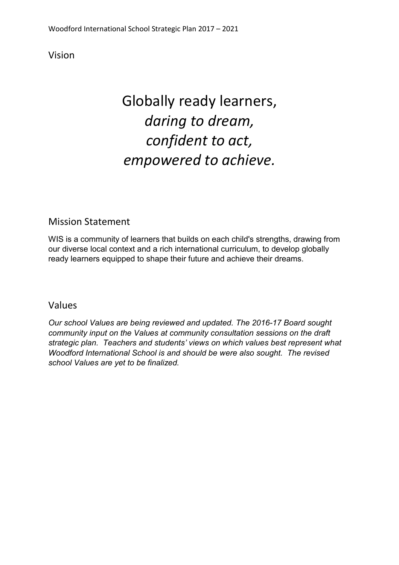Vision

# Globally ready learners, *daring to dream, confident to act, empowered to achieve.*

## Mission Statement

WIS is a community of learners that builds on each child's strengths, drawing from our diverse local context and a rich international curriculum, to develop globally ready learners equipped to shape their future and achieve their dreams.

### Values

*Our school Values are being reviewed and updated. The 2016-17 Board sought community input on the Values at community consultation sessions on the draft strategic plan. Teachers and students' views on which values best represent what Woodford International School is and should be were also sought. The revised school Values are yet to be finalized.*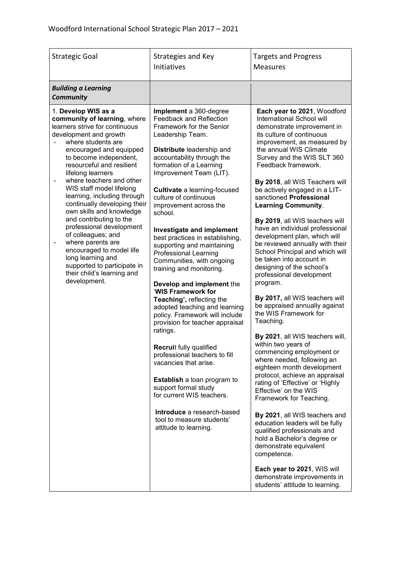| <b>Strategic Goal</b>                                                                                                                                                                                                                                                                                                                                                                                                                                                                                                                                                                                                           | Strategies and Key<br><b>Initiatives</b>                                                                                                                                                                                                                                                                                                                                                                                                                                                                                                                                                                                                                                                                                                                                                                                                                                                                                                                                                    | <b>Targets and Progress</b><br><b>Measures</b>                                                                                                                                                                                                                                                                                                                                                                                                                                                                                                                                                                                                                                                                                                                                                                                                                                                                                                                                                                                                                                                                                                                                                                                                                                                             |
|---------------------------------------------------------------------------------------------------------------------------------------------------------------------------------------------------------------------------------------------------------------------------------------------------------------------------------------------------------------------------------------------------------------------------------------------------------------------------------------------------------------------------------------------------------------------------------------------------------------------------------|---------------------------------------------------------------------------------------------------------------------------------------------------------------------------------------------------------------------------------------------------------------------------------------------------------------------------------------------------------------------------------------------------------------------------------------------------------------------------------------------------------------------------------------------------------------------------------------------------------------------------------------------------------------------------------------------------------------------------------------------------------------------------------------------------------------------------------------------------------------------------------------------------------------------------------------------------------------------------------------------|------------------------------------------------------------------------------------------------------------------------------------------------------------------------------------------------------------------------------------------------------------------------------------------------------------------------------------------------------------------------------------------------------------------------------------------------------------------------------------------------------------------------------------------------------------------------------------------------------------------------------------------------------------------------------------------------------------------------------------------------------------------------------------------------------------------------------------------------------------------------------------------------------------------------------------------------------------------------------------------------------------------------------------------------------------------------------------------------------------------------------------------------------------------------------------------------------------------------------------------------------------------------------------------------------------|
| <b>Building a Learning</b><br><b>Community</b>                                                                                                                                                                                                                                                                                                                                                                                                                                                                                                                                                                                  |                                                                                                                                                                                                                                                                                                                                                                                                                                                                                                                                                                                                                                                                                                                                                                                                                                                                                                                                                                                             |                                                                                                                                                                                                                                                                                                                                                                                                                                                                                                                                                                                                                                                                                                                                                                                                                                                                                                                                                                                                                                                                                                                                                                                                                                                                                                            |
| 1. Develop WIS as a<br>community of learning, where<br>learners strive for continuous<br>development and growth<br>where students are<br>encouraged and equipped<br>to become independent,<br>resourceful and resilient<br>lifelong learners<br>where teachers and other<br>WIS staff model lifelong<br>learning, including through<br>continually developing their<br>own skills and knowledge<br>and contributing to the<br>professional development<br>of colleagues; and<br>where parents are<br>encouraged to model life<br>long learning and<br>supported to participate in<br>their child's learning and<br>development. | Implement a 360-degree<br><b>Feedback and Reflection</b><br>Framework for the Senior<br>Leadership Team.<br>Distribute leadership and<br>accountability through the<br>formation of a Learning<br>Improvement Team (LIT).<br><b>Cultivate</b> a learning-focused<br>culture of continuous<br>improvement across the<br>school.<br>Investigate and implement<br>best practices in establishing,<br>supporting and maintaining<br><b>Professional Learning</b><br>Communities, with ongoing<br>training and monitoring.<br>Develop and implement the<br>'WIS Framework for<br>Teaching', reflecting the<br>adopted teaching and learning<br>policy. Framework will include<br>provision for teacher appraisal<br>ratings.<br><b>Recruit fully qualified</b><br>professional teachers to fill<br>vacancies that arise.<br>Establish a loan program to<br>support formal study<br>for current WIS teachers.<br>Introduce a research-based<br>tool to measure students'<br>attitude to learning. | Each year to 2021, Woodford<br>International School will<br>demonstrate improvement in<br>its culture of continuous<br>improvement, as measured by<br>the annual WIS Climate<br>Survey and the WIS SLT 360<br>Feedback framework.<br>By 2018, all WIS Teachers will<br>be actively engaged in a LIT-<br>sanctioned Professional<br><b>Learning Community.</b><br>By 2019, all WIS teachers will<br>have an individual professional<br>development plan, which will<br>be reviewed annually with their<br>School Principal and which will<br>be taken into account in<br>designing of the school's<br>professional development<br>program.<br>By 2017, all WIS teachers will<br>be appraised annually against<br>the WIS Framework for<br>Teaching.<br>By 2021, all WIS teachers will,<br>within two years of<br>commencing employment or<br>where needed, following an<br>eighteen month development<br>protocol, achieve an appraisal<br>rating of 'Effective' or 'Highly<br>Effective' on the WIS<br>Framework for Teaching.<br>By 2021, all WIS teachers and<br>education leaders will be fully<br>qualified professionals and<br>hold a Bachelor's degree or<br>demonstrate equivalent<br>competence.<br>Each year to 2021, WIS will<br>demonstrate improvements in<br>students' attitude to learning. |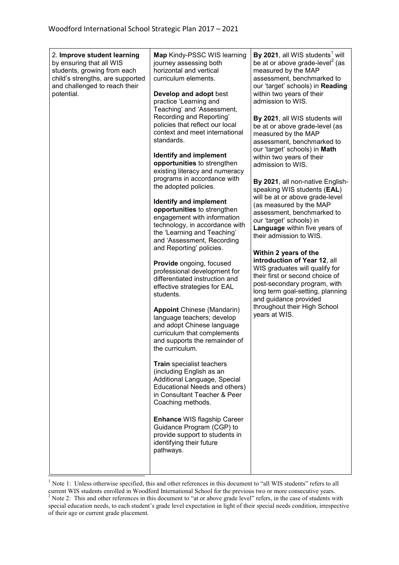| 2. Improve student learning<br>by ensuring that all WIS<br>students, growing from each<br>child's strengths, are supported<br>and challenged to reach their<br>potential. | Map Kindy-PSSC WIS learning<br>journey assessing both<br>horizontal and vertical<br>curriculum elements.<br>Develop and adopt best<br>practice 'Learning and<br>Teaching' and 'Assessment,<br>Recording and Reporting'<br>policies that reflect our local<br>context and meet international<br>standards.<br><b>Identify and implement</b><br>opportunities to strengthen<br>existing literacy and numeracy<br>programs in accordance with<br>the adopted policies.<br><b>Identify and implement</b><br>opportunities to strengthen<br>engagement with information<br>technology, in accordance with<br>the 'Learning and Teaching'<br>and 'Assessment, Recording<br>and Reporting' policies.<br>Provide ongoing, focused<br>professional development for<br>differentiated instruction and<br>effective strategies for EAL<br>students.<br><b>Appoint Chinese (Mandarin)</b><br>language teachers; develop<br>and adopt Chinese language<br>curriculum that complements<br>and supports the remainder of<br>the curriculum<br>Train specialist teachers<br>(including English as an<br>Additional Language, Special<br>Educational Needs and others)<br>in Consultant Teacher & Peer<br>Coaching methods.<br>Enhance WIS flagship Career<br>Guidance Program (CGP) to<br>provide support to students in<br>identifying their future<br>pathways. | By 2021, all WIS students <sup>1</sup> will<br>be at or above grade-level <sup>2</sup> (as<br>measured by the MAP<br>assessment, benchmarked to<br>our 'target' schools) in Reading<br>within two years of their<br>admission to WIS.<br>By 2021, all WIS students will<br>be at or above grade-level (as<br>measured by the MAP<br>assessment, benchmarked to<br>our 'target' schools) in Math<br>within two years of their<br>admission to WIS.<br>By 2021, all non-native English-<br>speaking WIS students (EAL)<br>will be at or above grade-level<br>(as measured by the MAP<br>assessment, benchmarked to<br>our 'target' schools) in<br>Language within five years of<br>their admission to WIS.<br>Within 2 years of the<br>introduction of Year 12, all<br>WIS graduates will qualify for<br>their first or second choice of<br>post-secondary program, with<br>long term goal-setting, planning<br>and guidance provided<br>throughout their High School<br>years at WIS. |
|---------------------------------------------------------------------------------------------------------------------------------------------------------------------------|---------------------------------------------------------------------------------------------------------------------------------------------------------------------------------------------------------------------------------------------------------------------------------------------------------------------------------------------------------------------------------------------------------------------------------------------------------------------------------------------------------------------------------------------------------------------------------------------------------------------------------------------------------------------------------------------------------------------------------------------------------------------------------------------------------------------------------------------------------------------------------------------------------------------------------------------------------------------------------------------------------------------------------------------------------------------------------------------------------------------------------------------------------------------------------------------------------------------------------------------------------------------------------------------------------------------------------------------------|--------------------------------------------------------------------------------------------------------------------------------------------------------------------------------------------------------------------------------------------------------------------------------------------------------------------------------------------------------------------------------------------------------------------------------------------------------------------------------------------------------------------------------------------------------------------------------------------------------------------------------------------------------------------------------------------------------------------------------------------------------------------------------------------------------------------------------------------------------------------------------------------------------------------------------------------------------------------------------------|
|---------------------------------------------------------------------------------------------------------------------------------------------------------------------------|---------------------------------------------------------------------------------------------------------------------------------------------------------------------------------------------------------------------------------------------------------------------------------------------------------------------------------------------------------------------------------------------------------------------------------------------------------------------------------------------------------------------------------------------------------------------------------------------------------------------------------------------------------------------------------------------------------------------------------------------------------------------------------------------------------------------------------------------------------------------------------------------------------------------------------------------------------------------------------------------------------------------------------------------------------------------------------------------------------------------------------------------------------------------------------------------------------------------------------------------------------------------------------------------------------------------------------------------------|--------------------------------------------------------------------------------------------------------------------------------------------------------------------------------------------------------------------------------------------------------------------------------------------------------------------------------------------------------------------------------------------------------------------------------------------------------------------------------------------------------------------------------------------------------------------------------------------------------------------------------------------------------------------------------------------------------------------------------------------------------------------------------------------------------------------------------------------------------------------------------------------------------------------------------------------------------------------------------------|

<sup>&</sup>lt;sup>1</sup> Note 1: Unless otherwise specified, this and other references in this document to "all WIS students" refers to all current WIS students enrolled in Woodford International School for the previous two or more consecutive years.  $2^2$  Note 2: This and other references in this document to "at or above grade level" refers, in the case of students with special education needs, to each student's grade level expectation in light of their special needs condition, irrespective of their age or current grade placement.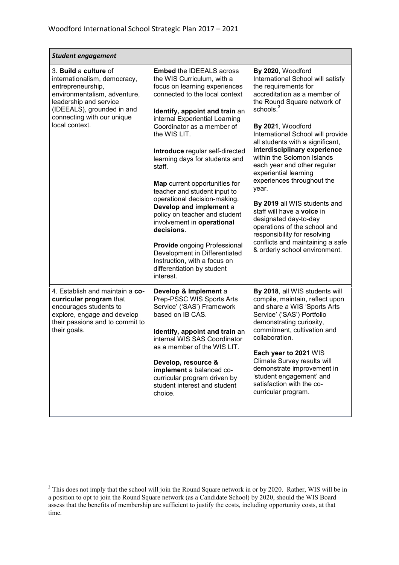| <b>Student engagement</b>                                                                                                                                                                                          |                                                                                                                                                                                                                                                                                                                                                                                                                                                                                                                                                                                                                                                                                                      |                                                                                                                                                                                                                                                                                                                                                                                                                                                                                                                                                                                                                                                               |
|--------------------------------------------------------------------------------------------------------------------------------------------------------------------------------------------------------------------|------------------------------------------------------------------------------------------------------------------------------------------------------------------------------------------------------------------------------------------------------------------------------------------------------------------------------------------------------------------------------------------------------------------------------------------------------------------------------------------------------------------------------------------------------------------------------------------------------------------------------------------------------------------------------------------------------|---------------------------------------------------------------------------------------------------------------------------------------------------------------------------------------------------------------------------------------------------------------------------------------------------------------------------------------------------------------------------------------------------------------------------------------------------------------------------------------------------------------------------------------------------------------------------------------------------------------------------------------------------------------|
| 3. Build a culture of<br>internationalism, democracy,<br>entrepreneurship,<br>environmentalism, adventure,<br>leadership and service<br>(IDEEALS), grounded in and<br>connecting with our unique<br>local context. | <b>Embed the IDEEALS across</b><br>the WIS Curriculum, with a<br>focus on learning experiences<br>connected to the local context<br>Identify, appoint and train an<br>internal Experiential Learning<br>Coordinator as a member of<br>the WIS LIT.<br>Introduce regular self-directed<br>learning days for students and<br>staff.<br><b>Map</b> current opportunities for<br>teacher and student input to<br>operational decision-making.<br>Develop and implement a<br>policy on teacher and student<br>involvement in operational<br>decisions.<br><b>Provide ongoing Professional</b><br>Development in Differentiated<br>Instruction, with a focus on<br>differentiation by student<br>interest. | By 2020, Woodford<br>International School will satisfy<br>the requirements for<br>accreditation as a member of<br>the Round Square network of<br>schools. <sup>3</sup><br>By 2021, Woodford<br>International School will provide<br>all students with a significant,<br>interdisciplinary experience<br>within the Solomon Islands<br>each year and other regular<br>experiential learning<br>experiences throughout the<br>year.<br>By 2019 all WIS students and<br>staff will have a voice in<br>designated day-to-day<br>operations of the school and<br>responsibility for resolving<br>conflicts and maintaining a safe<br>& orderly school environment. |
| 4. Establish and maintain a co-<br>curricular program that<br>encourages students to<br>explore, engage and develop<br>their passions and to commit to<br>their goals.                                             | Develop & Implement a<br>Prep-PSSC WIS Sports Arts<br>Service' ('SAS') Framework<br>based on IB CAS.<br>Identify, appoint and train an<br>internal WIS SAS Coordinator<br>as a member of the WIS LIT.<br>Develop, resource &<br>implement a balanced co-<br>curricular program driven by<br>student interest and student<br>choice.                                                                                                                                                                                                                                                                                                                                                                  | By 2018, all WIS students will<br>compile, maintain, reflect upon<br>and share a WIS 'Sports Arts<br>Service' ('SAS') Portfolio<br>demonstrating curiosity,<br>commitment, cultivation and<br>collaboration.<br>Each year to 2021 WIS<br>Climate Survey results will<br>demonstrate improvement in<br>'student engagement' and<br>satisfaction with the co-<br>curricular program.                                                                                                                                                                                                                                                                            |

 $\overline{a}$ 

 $3$  This does not imply that the school will join the Round Square network in or by 2020. Rather, WIS will be in a position to opt to join the Round Square network (as a Candidate School) by 2020, should the WIS Board assess that the benefits of membership are sufficient to justify the costs, including opportunity costs, at that time.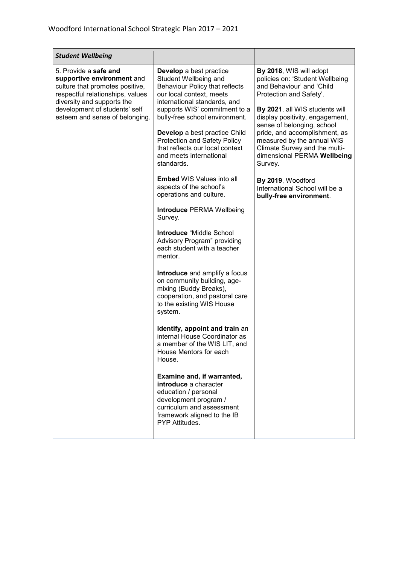Ť.

| <b>Student Wellbeing</b>                                                                                                                                                                                                    |                                                                                                                                                                                                                                                                                                                                                                                                                                                                                                                                                                                                                                                                                                                                                                                                                                                                                                                                                                                                                                                                                                                             |                                                                                                                                                                                                                                                                                                                                                                                                                                                   |
|-----------------------------------------------------------------------------------------------------------------------------------------------------------------------------------------------------------------------------|-----------------------------------------------------------------------------------------------------------------------------------------------------------------------------------------------------------------------------------------------------------------------------------------------------------------------------------------------------------------------------------------------------------------------------------------------------------------------------------------------------------------------------------------------------------------------------------------------------------------------------------------------------------------------------------------------------------------------------------------------------------------------------------------------------------------------------------------------------------------------------------------------------------------------------------------------------------------------------------------------------------------------------------------------------------------------------------------------------------------------------|---------------------------------------------------------------------------------------------------------------------------------------------------------------------------------------------------------------------------------------------------------------------------------------------------------------------------------------------------------------------------------------------------------------------------------------------------|
| 5. Provide a safe and<br>supportive environment and<br>culture that promotes positive,<br>respectful relationships, values<br>diversity and supports the<br>development of students' self<br>esteem and sense of belonging. | Develop a best practice<br>Student Wellbeing and<br><b>Behaviour Policy that reflects</b><br>our local context, meets<br>international standards, and<br>supports WIS' commitment to a<br>bully-free school environment.<br>Develop a best practice Child<br><b>Protection and Safety Policy</b><br>that reflects our local context<br>and meets international<br>standards.<br><b>Embed WIS Values into all</b><br>aspects of the school's<br>operations and culture.<br><b>Introduce PERMA Wellbeing</b><br>Survey.<br>Introduce "Middle School<br>Advisory Program" providing<br>each student with a teacher<br>mentor.<br>Introduce and amplify a focus<br>on community building, age-<br>mixing (Buddy Breaks),<br>cooperation, and pastoral care<br>to the existing WIS House<br>system.<br>Identify, appoint and train an<br>internal House Coordinator as<br>a member of the WIS LIT, and<br>House Mentors for each<br>House.<br>Examine and, if warranted,<br>introduce a character<br>education / personal<br>development program /<br>curriculum and assessment<br>framework aligned to the IB<br>PYP Attitudes. | By 2018, WIS will adopt<br>policies on: 'Student Wellbeing<br>and Behaviour' and 'Child<br>Protection and Safety'.<br>By 2021, all WIS students will<br>display positivity, engagement,<br>sense of belonging, school<br>pride, and accomplishment, as<br>measured by the annual WIS<br>Climate Survey and the multi-<br>dimensional PERMA Wellbeing<br>Survey.<br>By 2019, Woodford<br>International School will be a<br>bully-free environment. |

 $\mathcal{L}$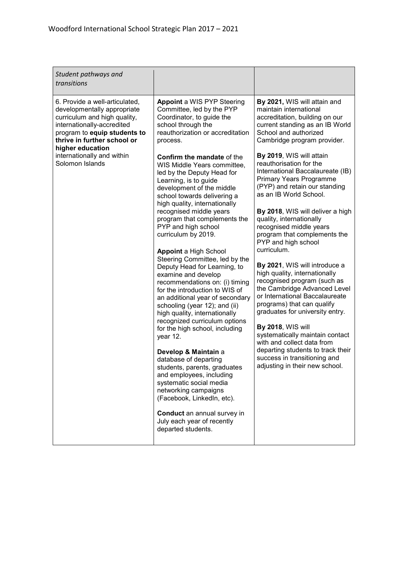| Student pathways and<br>transitions                                                                                                                                                                                                                             |                                                                                                                                                                                                                                                                                                                                                                                                                                                                                                                                                                                                                                                                                                                                                                                                      |                                                                                                                                                                                                                                                                                                                                                                                                                                                                                                                                                                                                                                                                                                                                                                                  |
|-----------------------------------------------------------------------------------------------------------------------------------------------------------------------------------------------------------------------------------------------------------------|------------------------------------------------------------------------------------------------------------------------------------------------------------------------------------------------------------------------------------------------------------------------------------------------------------------------------------------------------------------------------------------------------------------------------------------------------------------------------------------------------------------------------------------------------------------------------------------------------------------------------------------------------------------------------------------------------------------------------------------------------------------------------------------------------|----------------------------------------------------------------------------------------------------------------------------------------------------------------------------------------------------------------------------------------------------------------------------------------------------------------------------------------------------------------------------------------------------------------------------------------------------------------------------------------------------------------------------------------------------------------------------------------------------------------------------------------------------------------------------------------------------------------------------------------------------------------------------------|
| 6. Provide a well-articulated,<br>developmentally appropriate<br>curriculum and high quality,<br>internationally-accredited<br>program to equip students to<br>thrive in further school or<br>higher education<br>internationally and within<br>Solomon Islands | <b>Appoint a WIS PYP Steering</b><br>Committee, led by the PYP<br>Coordinator, to guide the<br>school through the<br>reauthorization or accreditation<br>process.<br><b>Confirm the mandate of the</b><br>WIS Middle Years committee,<br>led by the Deputy Head for<br>Learning, is to guide<br>development of the middle<br>school towards delivering a<br>high quality, internationally<br>recognised middle years<br>program that complements the<br>PYP and high school<br>curriculum by 2019.<br><b>Appoint a High School</b><br>Steering Committee, led by the<br>Deputy Head for Learning, to<br>examine and develop<br>recommendations on: (i) timing<br>for the introduction to WIS of<br>an additional year of secondary<br>schooling (year 12); and (ii)<br>high quality, internationally | By 2021, WIS will attain and<br>maintain international<br>accreditation, building on our<br>current standing as an IB World<br>School and authorized<br>Cambridge program provider.<br>By 2019, WIS will attain<br>reauthorisation for the<br>International Baccalaureate (IB)<br><b>Primary Years Programme</b><br>(PYP) and retain our standing<br>as an IB World School.<br>By 2018, WIS will deliver a high<br>quality, internationally<br>recognised middle years<br>program that complements the<br>PYP and high school<br>curriculum.<br>By 2021, WIS will introduce a<br>high quality, internationally<br>recognised program (such as<br>the Cambridge Advanced Level<br>or International Baccalaureate<br>programs) that can qualify<br>graduates for university entry. |
|                                                                                                                                                                                                                                                                 | recognized curriculum options<br>for the high school, including<br>year 12.<br>Develop & Maintain a<br>database of departing<br>students, parents, graduates<br>and employees, including<br>systematic social media<br>networking campaigns<br>(Facebook, LinkedIn, etc).<br>Conduct an annual survey in<br>July each year of recently<br>departed students.                                                                                                                                                                                                                                                                                                                                                                                                                                         | <b>By 2018, WIS will</b><br>systematically maintain contact<br>with and collect data from<br>departing students to track their<br>success in transitioning and<br>adjusting in their new school.                                                                                                                                                                                                                                                                                                                                                                                                                                                                                                                                                                                 |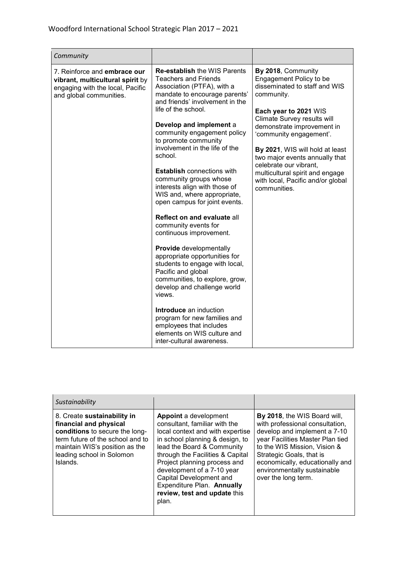| Community                                                                                                                       |                                                                                                                                                                                                                                                                                                                                                                                                                                                                                                                                                                                                                                                                                                                                                                                                       |                                                                                                                                                                                                                                                                                                                                                                                                      |
|---------------------------------------------------------------------------------------------------------------------------------|-------------------------------------------------------------------------------------------------------------------------------------------------------------------------------------------------------------------------------------------------------------------------------------------------------------------------------------------------------------------------------------------------------------------------------------------------------------------------------------------------------------------------------------------------------------------------------------------------------------------------------------------------------------------------------------------------------------------------------------------------------------------------------------------------------|------------------------------------------------------------------------------------------------------------------------------------------------------------------------------------------------------------------------------------------------------------------------------------------------------------------------------------------------------------------------------------------------------|
| 7. Reinforce and embrace our<br>vibrant, multicultural spirit by<br>engaging with the local, Pacific<br>and global communities. | <b>Re-establish the WIS Parents</b><br><b>Teachers and Friends</b><br>Association (PTFA), with a<br>mandate to encourage parents'<br>and friends' involvement in the<br>life of the school.<br>Develop and implement a<br>community engagement policy<br>to promote community<br>involvement in the life of the<br>school.<br><b>Establish connections with</b><br>community groups whose<br>interests align with those of<br>WIS and, where appropriate,<br>open campus for joint events.<br>Reflect on and evaluate all<br>community events for<br>continuous improvement.<br>Provide developmentally<br>appropriate opportunities for<br>students to engage with local,<br>Pacific and global<br>communities, to explore, grow,<br>develop and challenge world<br>views.<br>Introduce an induction | By 2018, Community<br>Engagement Policy to be<br>disseminated to staff and WIS<br>community.<br>Each year to 2021 WIS<br>Climate Survey results will<br>demonstrate improvement in<br>'community engagement'.<br>By 2021, WIS will hold at least<br>two major events annually that<br>celebrate our vibrant,<br>multicultural spirit and engage<br>with local, Pacific and/or global<br>communities. |
|                                                                                                                                 | program for new families and<br>employees that includes<br>elements on WIS culture and<br>inter-cultural awareness.                                                                                                                                                                                                                                                                                                                                                                                                                                                                                                                                                                                                                                                                                   |                                                                                                                                                                                                                                                                                                                                                                                                      |

| Sustainability                                                                                                                                                                                         |                                                                                                                                                                                                                                                                                                                                                                        |                                                                                                                                                                                                                                                                                          |
|--------------------------------------------------------------------------------------------------------------------------------------------------------------------------------------------------------|------------------------------------------------------------------------------------------------------------------------------------------------------------------------------------------------------------------------------------------------------------------------------------------------------------------------------------------------------------------------|------------------------------------------------------------------------------------------------------------------------------------------------------------------------------------------------------------------------------------------------------------------------------------------|
| 8. Create sustainability in<br>financial and physical<br>conditions to secure the long-<br>term future of the school and to<br>maintain WIS's position as the<br>leading school in Solomon<br>Islands. | <b>Appoint</b> a development<br>consultant, familiar with the<br>local context and with expertise<br>in school planning & design, to<br>lead the Board & Community<br>through the Facilities & Capital<br>Project planning process and<br>development of a 7-10 year<br>Capital Development and<br>Expenditure Plan. Annually<br>review, test and update this<br>plan. | By 2018, the WIS Board will,<br>with professional consultation,<br>develop and implement a 7-10<br>year Facilities Master Plan tied<br>to the WIS Mission, Vision &<br>Strategic Goals, that is<br>economically, educationally and<br>environmentally sustainable<br>over the long term. |